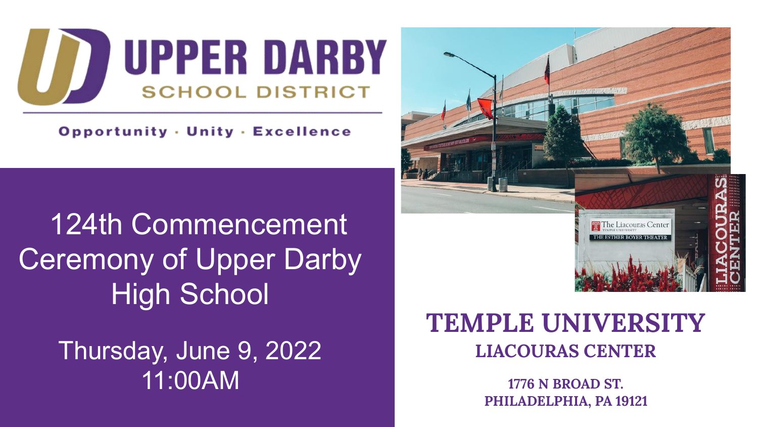

**Opportunity · Unity · Excellence** 

 124th Commencement **Ceremony of Upper Darby** High School

> Thursday, June 9, 2022 11:00AM



## **TEMPLE UNIVERSITY LIACOURAS CENTER**

**1776 N BROAD ST. PHILADELPHIA, PA 19121**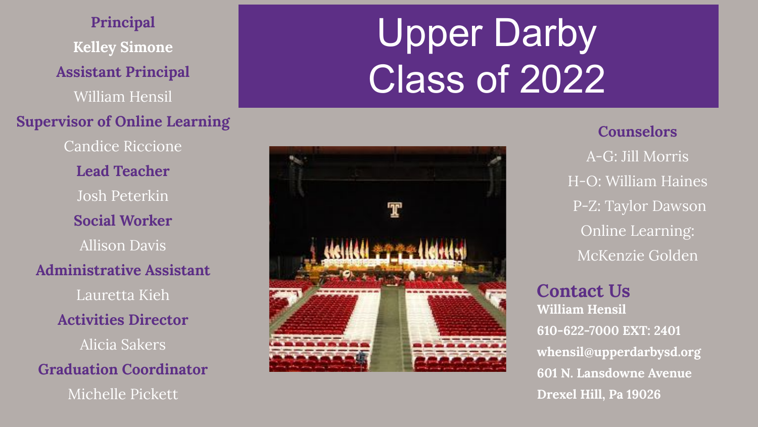**Principal Kelley Simone Assistant Principal**  William Hensil **Supervisor of Online Learning**  Candice Riccione **Lead Teacher**  Josh Peterkin **Social Worker** Allison Davis **Administrative Assistant** Lauretta Kieh **Activities Director**  Alicia Sakers **Graduation Coordinator** Michelle Pickett

# Upper Darby Class of 2022

## **Counselors**

A-G: Jill Morris H-O: William Haines P-Z: Taylor Dawson Online Learning: McKenzie Golden

## **Contact Us**

**William Hensil 610-622-7000 EXT: 2401 whensil@upperdarbysd.org 601 N. Lansdowne Avenue Drexel Hill, Pa 19026**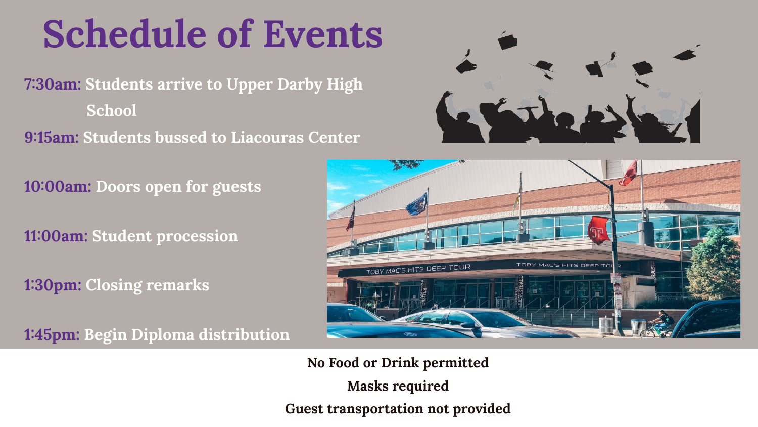# **Schedule of Events**

**7:30am: Students arrive to Upper Darby High School 9:15am: Students bussed to Liacouras Center** 



**10:00am: Doors open for guests** 

**11:00am: Student procession**

**1:30pm: Closing remarks**

**1:45pm: Begin Diploma distribution**



**No Food or Drink permitted Masks required Guest transportation not provided**